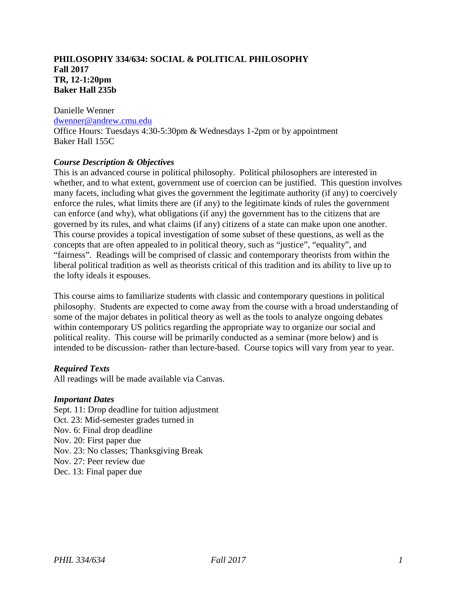## **PHILOSOPHY 334/634: SOCIAL & POLITICAL PHILOSOPHY Fall 2017 TR, 12-1:20pm Baker Hall 235b**

#### Danielle Wenner

#### [dwenner@andrew.cmu.edu](mailto:dwenner@andrew.cmu.edu)

Office Hours: Tuesdays 4:30-5:30pm & Wednesdays 1-2pm or by appointment Baker Hall 155C

# *Course Description & Objectives*

This is an advanced course in political philosophy. Political philosophers are interested in whether, and to what extent, government use of coercion can be justified. This question involves many facets, including what gives the government the legitimate authority (if any) to coercively enforce the rules, what limits there are (if any) to the legitimate kinds of rules the government can enforce (and why), what obligations (if any) the government has to the citizens that are governed by its rules, and what claims (if any) citizens of a state can make upon one another. This course provides a topical investigation of some subset of these questions, as well as the concepts that are often appealed to in political theory, such as "justice", "equality", and "fairness". Readings will be comprised of classic and contemporary theorists from within the liberal political tradition as well as theorists critical of this tradition and its ability to live up to the lofty ideals it espouses.

This course aims to familiarize students with classic and contemporary questions in political philosophy. Students are expected to come away from the course with a broad understanding of some of the major debates in political theory as well as the tools to analyze ongoing debates within contemporary US politics regarding the appropriate way to organize our social and political reality. This course will be primarily conducted as a seminar (more below) and is intended to be discussion- rather than lecture-based. Course topics will vary from year to year.

## *Required Texts*

All readings will be made available via Canvas.

## *Important Dates*

<span id="page-0-0"></span>Sept. 11: Drop deadline for tuition adjustment Oct. 23: Mid-semester grades turned in Nov. 6: Final drop deadline Nov. 20: First paper due Nov. 23: No classes; Thanksgiving Break Nov. 27: Peer review due Dec. 13: Final paper due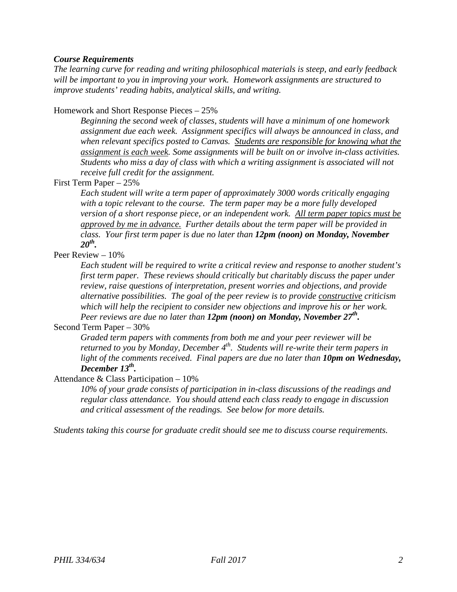## *Course Requirements*

*The learning curve for reading and writing philosophical materials is steep, and early feedback will be important to you in improving your work. Homework assignments are structured to improve students' reading habits, analytical skills, and writing.*

Homework and Short Response Pieces – 25%

*Beginning the second week of classes, students will have a minimum of one homework assignment due each week. Assignment specifics will always be announced in class, and when relevant specifics posted to Canvas. Students are responsible for knowing what the assignment is each week. Some assignments will be built on or involve in-class activities. Students who miss a day of class with which a writing assignment is associated will not receive full credit for the assignment.*

First Term Paper – 25%

*Each student will write a term paper of approximately 3000 words critically engaging with a topic relevant to the course. The term paper may be a more fully developed version of a short response piece, or an independent work. All term paper topics must be approved by me in advance. Further details about the term paper will be provided in class. Your first term paper is due no later than 12pm (noon) on Monday, November 20th.*

# Peer Review – 10%

*Each student will be required to write a critical review and response to another student's first term paper. These reviews should critically but charitably discuss the paper under review, raise questions of interpretation, present worries and objections, and provide alternative possibilities. The goal of the peer review is to provide constructive criticism which will help the recipient to consider new objections and improve his or her work. Peer reviews are due no later than 12pm (noon) on Monday, November 27th.*

## Second Term Paper – 30%

*Graded term papers with comments from both me and your peer reviewer will be returned to you by Monday, December 4<sup>th</sup>. Students will re-write their term papers in* light of the comments received. Final papers are due no later than *10pm on Wednesday*, *December 13th.*

## Attendance & Class Participation – 10%

*10% of your grade consists of participation in in-class discussions of the readings and regular class attendance. You should attend each class ready to engage in discussion and critical assessment of the readings. See below for more details.*

*Students taking this course for graduate credit should see me to discuss course requirements.*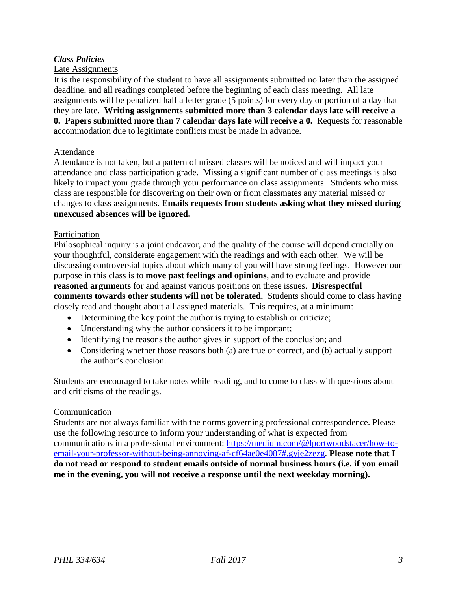# *Class Policies*

## Late Assignments

It is the responsibility of the student to have all assignments submitted no later than the assigned deadline, and all readings completed before the beginning of each class meeting. All late assignments will be penalized half a letter grade (5 points) for every day or portion of a day that they are late. **Writing assignments submitted more than 3 calendar days late will receive a 0. Papers submitted more than 7 calendar days late will receive a 0.** Requests for reasonable accommodation due to legitimate conflicts must be made in advance.

#### Attendance

Attendance is not taken, but a pattern of missed classes will be noticed and will impact your attendance and class participation grade. Missing a significant number of class meetings is also likely to impact your grade through your performance on class assignments. Students who miss class are responsible for discovering on their own or from classmates any material missed or changes to class assignments. **Emails requests from students asking what they missed during unexcused absences will be ignored.**

#### Participation

Philosophical inquiry is a joint endeavor, and the quality of the course will depend crucially on your thoughtful, considerate engagement with the readings and with each other. We will be discussing controversial topics about which many of you will have strong feelings. However our purpose in this class is to **move past feelings and opinions**, and to evaluate and provide **reasoned arguments** for and against various positions on these issues. **Disrespectful comments towards other students will not be tolerated.** Students should come to class having closely read and thought about all assigned materials. This requires, at a minimum:

- Determining the key point the author is trying to establish or criticize;
- Understanding why the author considers it to be important;
- Identifying the reasons the author gives in support of the conclusion; and
- Considering whether those reasons both (a) are true or correct, and (b) actually support the author's conclusion.

Students are encouraged to take notes while reading, and to come to class with questions about and criticisms of the readings.

#### **Communication**

Students are not always familiar with the norms governing professional correspondence. Please use the following resource to inform your understanding of what is expected from communications in a professional environment: [https://medium.com/@lportwoodstacer/how-to](https://medium.com/@lportwoodstacer/how-to-email-your-professor-without-being-annoying-af-cf64ae0e4087#.gyje2zezg)[email-your-professor-without-being-annoying-af-cf64ae0e4087#.gyje2zezg.](https://medium.com/@lportwoodstacer/how-to-email-your-professor-without-being-annoying-af-cf64ae0e4087#.gyje2zezg) **Please note that I do not read or respond to student emails outside of normal business hours (i.e. if you email me in the evening, you will not receive a response until the next weekday morning).**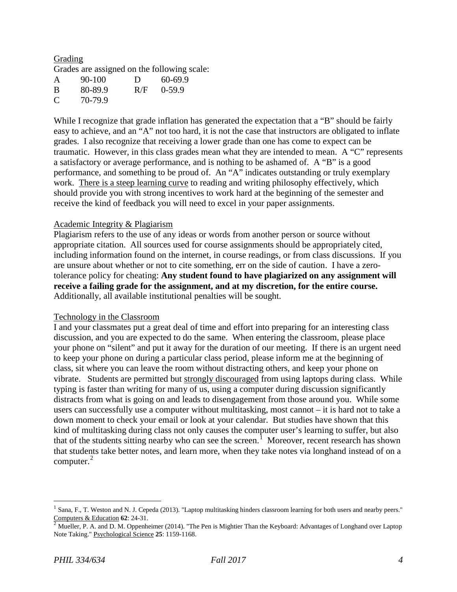#### Grading Grades are assigned on the following scale:

| $\mathsf{A}$ | 90-100  | Ð   | 60-69.9  |
|--------------|---------|-----|----------|
| B            | 80-89.9 | R/F | $0-59.9$ |
| C            | 70-79.9 |     |          |

While I recognize that grade inflation has generated the expectation that a "B" should be fairly easy to achieve, and an "A" not too hard, it is not the case that instructors are obligated to inflate grades. I also recognize that receiving a lower grade than one has come to expect can be traumatic. However, in this class grades mean what they are intended to mean. A "C" represents a satisfactory or average performance, and is nothing to be ashamed of. A "B" is a good performance, and something to be proud of. An "A" indicates outstanding or truly exemplary work. There is a steep learning curve to reading and writing philosophy effectively, which should provide you with strong incentives to work hard at the beginning of the semester and receive the kind of feedback you will need to excel in your paper assignments.

# Academic Integrity & Plagiarism

Plagiarism refers to the use of any ideas or words from another person or source without appropriate citation. All sources used for course assignments should be appropriately cited, including information found on the internet, in course readings, or from class discussions. If you are unsure about whether or not to cite something, err on the side of caution. I have a zerotolerance policy for cheating: **Any student found to have plagiarized on any assignment will receive a failing grade for the assignment, and at my discretion, for the entire course.** Additionally, all available institutional penalties will be sought.

## Technology in the Classroom

I and your classmates put a great deal of time and effort into preparing for an interesting class discussion, and you are expected to do the same. When entering the classroom, please place your phone on "silent" and put it away for the duration of our meeting. If there is an urgent need to keep your phone on during a particular class period, please inform me at the beginning of class, sit where you can leave the room without distracting others, and keep your phone on vibrate. Students are permitted but strongly discouraged from using laptops during class. While typing is faster than writing for many of us, using a computer during discussion significantly distracts from what is going on and leads to disengagement from those around you. While some users can successfully use a computer without multitasking, most cannot – it is hard not to take a down moment to check your email or look at your calendar. But studies have shown that this kind of multitasking during class not only causes the computer user's learning to suffer, but also that of the students sitting nearby who can see the screen.<sup>[1](#page-0-0)</sup> Moreover, recent research has shown that students take better notes, and learn more, when they take notes via longhand instead of on a computer.<sup>[2](#page-3-0)</sup>

Sana, F., T. Weston and N. J. Cepeda (2013). "Laptop multitasking hinders classroom learning for both users and nearby peers." Computers & Education **62**: 24-31.<br><sup>2</sup> Mueller, P. A. and D. M. Oppenheimer (2014). "The Pen is Mightier Than the Keyboard: Advantages of Longhand over Laptop

<span id="page-3-0"></span>Note Taking." Psychological Science **25**: 1159-1168.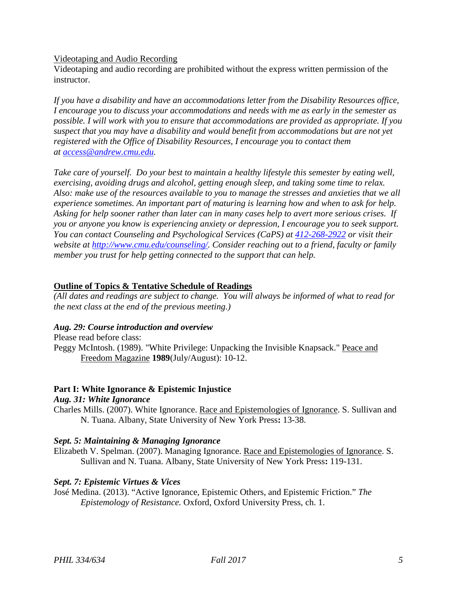Videotaping and Audio Recording

Videotaping and audio recording are prohibited without the express written permission of the instructor.

*If you have a disability and have an accommodations letter from the Disability Resources office, I encourage you to discuss your accommodations and needs with me as early in the semester as possible. I will work with you to ensure that accommodations are provided as appropriate. If you suspect that you may have a disability and would benefit from accommodations but are not yet registered with the Office of Disability Resources, I encourage you to contact them at [access@andrew.cmu.edu.](mailto:access@andrew.cmu.edu)*

*Take care of yourself. Do your best to maintain a healthy lifestyle this semester by eating well, exercising, avoiding drugs and alcohol, getting enough sleep, and taking some time to relax. Also: make use of the resources available to you to manage the stresses and anxieties that we all experience sometimes. An important part of maturing is learning how and when to ask for help. Asking for help sooner rather than later can in many cases help to avert more serious crises. If you or anyone you know is experiencing anxiety or depression, I encourage you to seek support. You can contact Counseling and Psychological Services (CaPS) at [412-268-2922](tel:(412)%20268-2922) or visit their website at [http://www.cmu.edu/counseling/.](http://www.cmu.edu/counseling/) Consider reaching out to a friend, faculty or family member you trust for help getting connected to the support that can help.*

## **Outline of Topics & Tentative Schedule of Readings**

*(All dates and readings are subject to change. You will always be informed of what to read for the next class at the end of the previous meeting.)*

## *Aug. 29: Course introduction and overview*

Please read before class: Peggy McIntosh. (1989). "White Privilege: Unpacking the Invisible Knapsack." Peace and Freedom Magazine **1989**(July/August): 10-12.

# **Part I: White Ignorance & Epistemic Injustice**

# *Aug. 31: White Ignorance*

Charles Mills. (2007). White Ignorance. Race and Epistemologies of Ignorance. S. Sullivan and N. Tuana. Albany, State University of New York Press**:** 13-38.

## *Sept. 5: Maintaining & Managing Ignorance*

Elizabeth V. Spelman. (2007). Managing Ignorance. Race and Epistemologies of Ignorance. S. Sullivan and N. Tuana. Albany, State University of New York Press**:** 119-131.

# *Sept. 7: Epistemic Virtues & Vices*

José Medina. (2013). "Active Ignorance, Epistemic Others, and Epistemic Friction." *The Epistemology of Resistance.* Oxford, Oxford University Press, ch. 1.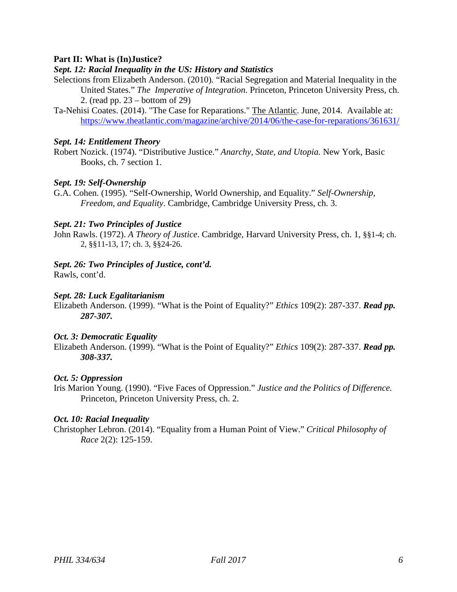# **Part II: What is (In)Justice?**

## *Sept. 12: Racial Inequality in the US: History and Statistics*

- Selections from Elizabeth Anderson. (2010)*.* "Racial Segregation and Material Inequality in the United States." *The Imperative of Integration*. Princeton, Princeton University Press, ch. 2. (read pp. 23 – bottom of 29)
- Ta-Nehisi Coates. (2014). "The Case for Reparations." The Atlantic. June, 2014. Available at: <https://www.theatlantic.com/magazine/archive/2014/06/the-case-for-reparations/361631/>

#### *Sept. 14: Entitlement Theory*

Robert Nozick. (1974). "Distributive Justice." *Anarchy, State, and Utopia.* New York, Basic Books, ch. 7 section 1.

## *Sept. 19: Self-Ownership*

G.A. Cohen. (1995). "Self-Ownership, World Ownership, and Equality." *Self-Ownership, Freedom, and Equality*. Cambridge, Cambridge University Press, ch. 3.

#### *Sept. 21: Two Principles of Justice*

John Rawls. (1972). *A Theory of Justice*. Cambridge, Harvard University Press, ch. 1, §§1-4; ch. 2, §§11-13, 17; ch. 3, §§24-26.

#### *Sept. 26: Two Principles of Justice, cont'd.*

Rawls, cont'd.

#### *Sept. 28: Luck Egalitarianism*

Elizabeth Anderson. (1999). "What is the Point of Equality?" *Ethics* 109(2): 287-337. *Read pp. 287-307.* 

#### *Oct. 3: Democratic Equality*

Elizabeth Anderson. (1999). "What is the Point of Equality?" *Ethics* 109(2): 287-337. *Read pp. 308-337.* 

#### *Oct. 5: Oppression*

Iris Marion Young. (1990). "Five Faces of Oppression." *Justice and the Politics of Difference.* Princeton, Princeton University Press, ch. 2.

# *Oct. 10: Racial Inequality*

Christopher Lebron. (2014). "Equality from a Human Point of View." *Critical Philosophy of Race* 2(2): 125-159.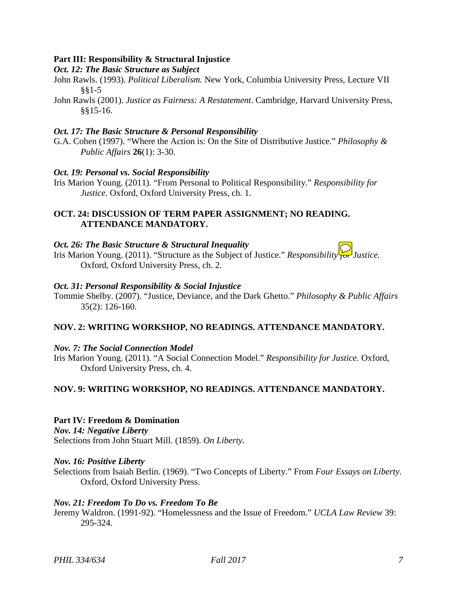# **Part III: Responsibility & Structural Injustice**

*Oct. 12: The Basic Structure as Subject*

- John Rawls. (1993). *Political Liberalism.* New York, Columbia University Press, Lecture VII §§1-5
- John Rawls (2001). *Justice as Fairness: A Restatement*. Cambridge, Harvard University Press, §§15-16.

# *Oct. 17: The Basic Structure & Personal Responsibility*

G.A. Cohen (1997). "Where the Action is: On the Site of Distributive Justice." *Philosophy & Public Affairs* **26**(1): 3-30.

## *Oct. 19: Personal vs. Social Responsibility*

Iris Marion Young. (2011). "From Personal to Political Responsibility." *Responsibility for Justice.* Oxford, Oxford University Press, ch. 1.

# **OCT. 24: DISCUSSION OF TERM PAPER ASSIGNMENT; NO READING. ATTENDANCE MANDATORY.**

## *Oct. 26: The Basic Structure & Structural Inequality*

Iris Marion Young. (2011). "Structure as the Subject of Justice." *Responsibility for Justice.* Oxford, Oxford University Press, ch. 2.

## *Oct. 31: Personal Responsibility & Social Injustice*

Tommie Shelby. (2007). "Justice, Deviance, and the Dark Ghetto." *Philosophy & Public Affairs*  35(2): 126-160.

# **NOV. 2: WRITING WORKSHOP, NO READINGS. ATTENDANCE MANDATORY.**

# *Nov. 7: The Social Connection Model*

Iris Marion Young. (2011). "A Social Connection Model." *Responsibility for Justice.* Oxford, Oxford University Press, ch. 4.

# **NOV. 9: WRITING WORKSHOP, NO READINGS. ATTENDANCE MANDATORY.**

# **Part IV: Freedom & Domination**

*Nov. 14: Negative Liberty* Selections from John Stuart Mill. (1859). *On Liberty.*

## *Nov. 16: Positive Liberty*

Selections from Isaiah Berlin. (1969). "Two Concepts of Liberty." From *Four Essays on Liberty*. Oxford, Oxford University Press.

## *Nov. 21: Freedom To Do vs. Freedom To Be*

Jeremy Waldron. (1991-92). "Homelessness and the Issue of Freedom." *UCLA Law Review* 39: 295-324.